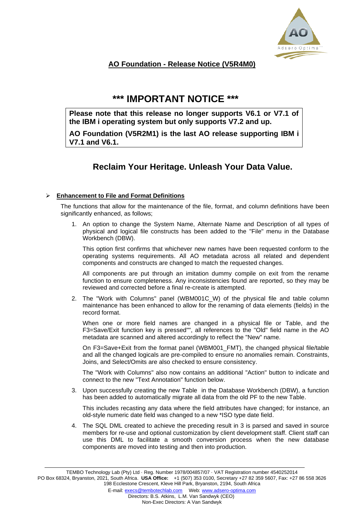

# **AO Foundation - Release Notice (V5R4M0)**

# **\*\*\* IMPORTANT NOTICE \*\*\***

**Please note that this release no longer supports V6.1 or V7.1 of the IBM i operating system but only supports V7.2 and up.**

**AO Foundation (V5R2M1) is the last AO release supporting IBM i V7.1 and V6.1.**

# **Reclaim Your Heritage. Unleash Your Data Value.**

## ➢ **Enhancement to File and Format Definitions**

The functions that allow for the maintenance of the file, format, and column definitions have been significantly enhanced, as follows:

1. An option to change the System Name, Alternate Name and Description of all types of physical and logical file constructs has been added to the "File" menu in the Database Workbench (DBW).

This option first confirms that whichever new names have been requested conform to the operating systems requirements. All AO metadata across all related and dependent components and constructs are changed to match the requested changes.

All components are put through an imitation dummy compile on exit from the rename function to ensure completeness. Any inconsistencies found are reported, so they may be reviewed and corrected before a final re-create is attempted.

2. The "Work with Columns" panel (WBM001C\_W) of the physical file and table column maintenance has been enhanced to allow for the renaming of data elements (fields) in the record format.

When one or more field names are changed in a physical file or Table, and the F3=Save/Exit function key is pressed"", all references to the "Old" field name in the AO metadata are scanned and altered accordingly to reflect the "New" name.

On F3=Save+Exit from the format panel (WBM001\_FMT), the changed physical file/table and all the changed logicals are pre-compiled to ensure no anomalies remain. Constraints, Joins, and Select/Omits are also checked to ensure consistency.

The "Work with Columns" also now contains an additional "Action" button to indicate and connect to the new "Text Annotation" function below.

3. Upon successfully creating the new Table in the Database Workbench (DBW), a function has been added to automatically migrate all data from the old PF to the new Table.

This includes recasting any data where the field attributes have changed; for instance, an old-style numeric date field was changed to a new \*ISO type date field.

4. The SQL DML created to achieve the preceding result in 3 is parsed and saved in source members for re-use and optional customization by client development staff. Client staff can use this DML to facilitate a smooth conversion process when the new database components are moved into testing and then into production.

TEMBO Technology Lab (Pty) Ltd · Reg. Number 1978/004857/07 · VAT Registration number 4540252014 PO Box 68324, Bryanston, 2021, South Africa. **USA Office:** +1 (507) 353 0100, Secretary +27 82 359 5607, Fax: +27 86 558 3626 198 Ecclestone Crescent, Kleve Hill Park, Bryanston, 2194, South Africa E-mail: [execs@tembotechlab.com](mailto:execs@tembotechlab.com) Web: [www.adsero-optima.com](http://www.adsero-optima.com/)